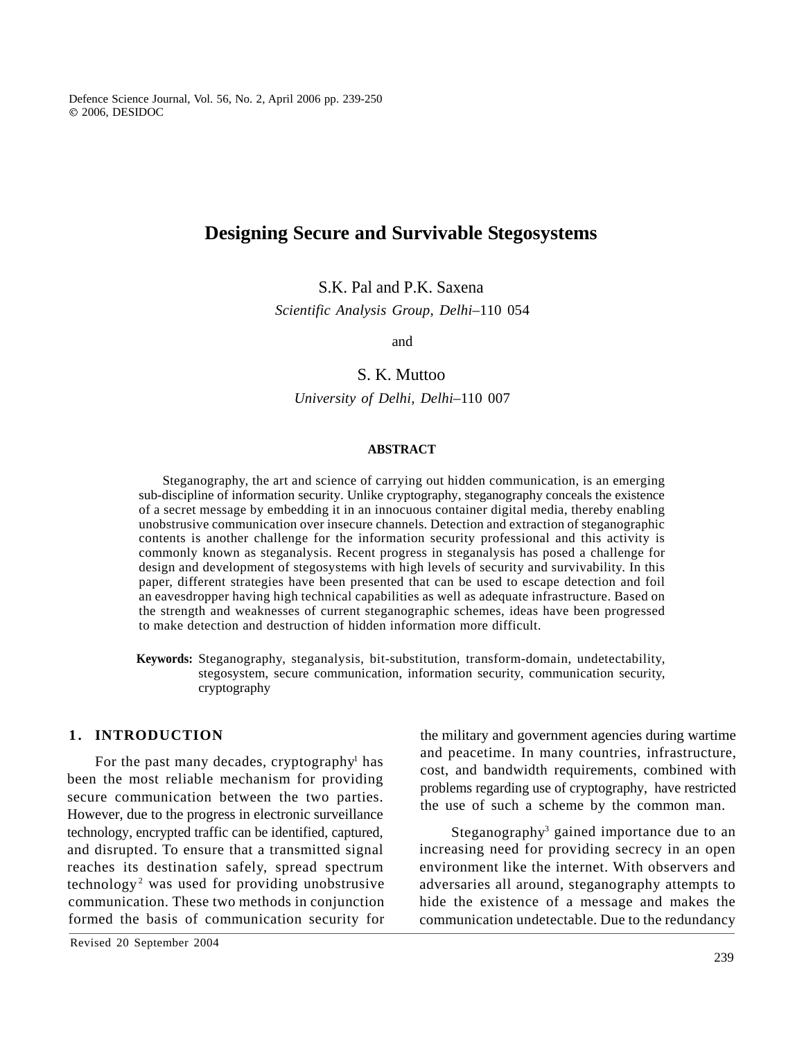Defence Science Journal, Vol. 56, No. 2, April 2006 pp. 239-250 2006, DESIDOC

# **Designing Secure and Survivable Stegosystems**

S.K. Pal and P.K. Saxena

*Scientific Analysis Group, Delhi–*110 054

and

# S. K. Muttoo

*University of Delhi, Delhi–*110 007

### **ABSTRACT**

**1 . INTRODUCTION** Steganography, the art and science of carrying out hidden communication, is an emerging sub-discipline of information security. Unlike cryptography, steganography conceals the existence of a secret message by embedding it in an innocuous container digital media, thereby enabling unobstrusive communication over insecure channels. Detection and extraction of steganographic contents is another challenge for the information security professional and this activity is commonly known as steganalysis. Recent progress in steganalysis has posed a challenge for design and development of stegosystems with high levels of security and survivability. In this paper, different strategies have been presented that can be used to escape detection and foil an eavesdropper having high technical capabilities as well as adequate infrastructure. Based on the strength and weaknesses of current steganographic schemes, ideas have been progressed to make detection and destruction of hidden information more difficult.

**Keywords:** Steganography, steganalysis, bit-substitution, transform-domain, undetectability, stegosystem, secure communication, information security, communication security, cryptography

For the past many decades, cryptography<sup>1</sup> has been the most reliable mechanism for providing secure communication between the two parties. However, due to the progress in electronic surveillance technology, encrypted traffic can be identified, captured, and disrupted. To ensure that a transmitted signal reaches its destination safely, spread spectrum

the military and government agencies during wartime and peacetime. In many countries, infrastructure, cost, and bandwidth requirements, combined with problems regarding use of cryptography, have restricted the use of such a scheme by the common man.

technology<sup>2</sup> was used for providing unobstrusive adversaries all around, steganography attempts to communication. These two methods in conjunction hide the existence of a message and makes the formed the basis of communication security for communication undetectable. Due to the redundancy Steganography<sup>3</sup> gained importance due to an increasing need for providing secrecy in an open environment like the internet. With observers and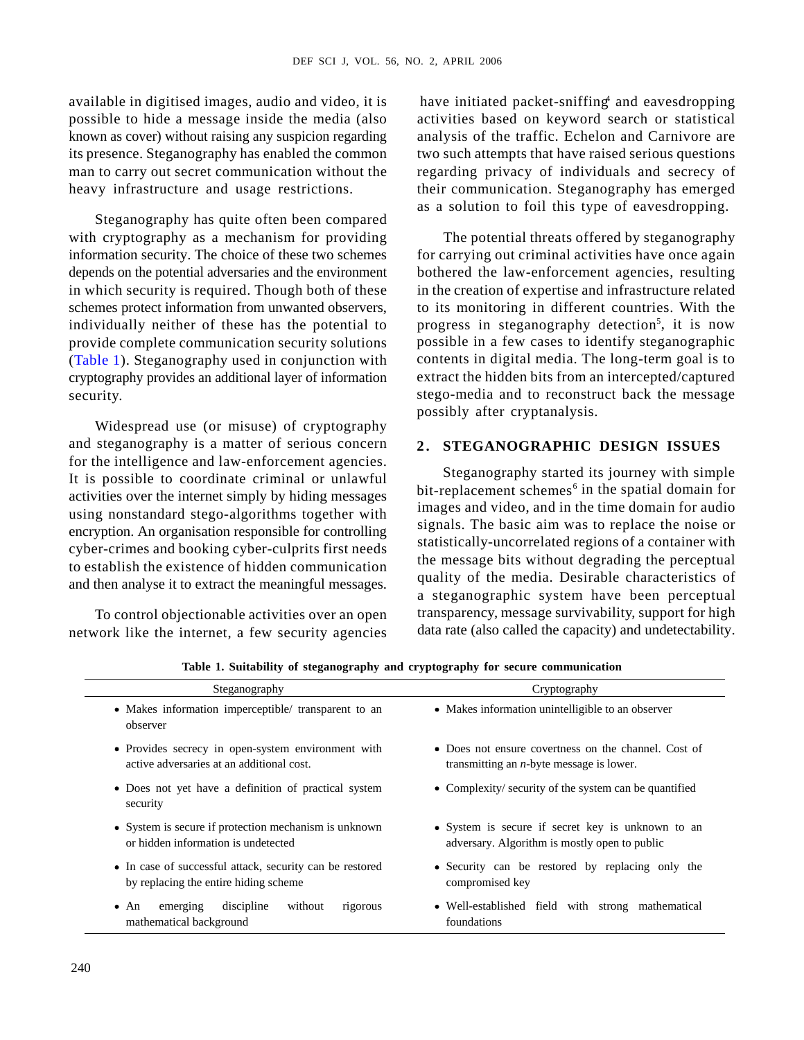information security. The choice of these two schemes for carrying out criminal activities have once again depends on the potential adversaries and the environment bothered the law-enforcement agencies, resulting in which security is required. Though both of these in the creation of expertise and infrastructure related security. stego-media and to reconstruct back the message The potential threats offered by steganography to its monitoring in different countries. With the progress in steganography detection<sup>5</sup>, it is now , it is now possible in a few cases to identify steganographic contents in digital media. The long-term goal is to extract the hidden bits from an intercepted/captured possibly after cryptanalysis.

| DEF SCI J, VOL. 56, NO. 2, APRIL 2006                                                                                                                                                             |                                                                                                                                                                          |  |  |  |  |  |
|---------------------------------------------------------------------------------------------------------------------------------------------------------------------------------------------------|--------------------------------------------------------------------------------------------------------------------------------------------------------------------------|--|--|--|--|--|
| vailable in digitised images, audio and video, it is<br>ossible to hide a message inside the media (also                                                                                          | have initiated packet-sniffing and eavesdropping<br>activities based on keyword search or statistical                                                                    |  |  |  |  |  |
| nown as cover) without raising any suspicion regarding<br>ts presence. Steganography has enabled the common<br>nan to carry out secret communication without the                                  | analysis of the traffic. Echelon and Carnivore are<br>two such attempts that have raised serious questions<br>regarding privacy of individuals and secrecy of            |  |  |  |  |  |
| eavy infrastructure and usage restrictions.<br>Steganography has quite often been compared<br>with cryptography as a mechanism for providing                                                      | their communication. Steganography has emerged<br>as a solution to foil this type of eavesdropping.<br>The potential threats offered by steganography                    |  |  |  |  |  |
| information security. The choice of these two schemes<br>epends on the potential adversaries and the environment<br>n which security is required. Though both of these                            | for carrying out criminal activities have once again<br>bothered the law-enforcement agencies, resulting<br>in the creation of expertise and infrastructure related      |  |  |  |  |  |
| chemes protect information from unwanted observers,<br>ndividually neither of these has the potential to<br>rovide complete communication security solutions                                      | to its monitoring in different countries. With the<br>progress in steganography detection <sup>5</sup> , it is now<br>possible in a few cases to identify steganographic |  |  |  |  |  |
| Table 1). Steganography used in conjunction with<br>ryptography provides an additional layer of information<br>ecurity.                                                                           | contents in digital media. The long-term goal is to<br>extract the hidden bits from an intercepted/captured<br>stego-media and to reconstruct back the message           |  |  |  |  |  |
| Widespread use (or misuse) of cryptography<br>nd steganography is a matter of serious concern                                                                                                     | possibly after cryptanalysis.<br>2. STEGANOGRAPHIC DESIGN ISSUES                                                                                                         |  |  |  |  |  |
| or the intelligence and law-enforcement agencies.<br>t is possible to coordinate criminal or unlawful<br>ctivities over the internet simply by hiding messages                                    | Steganography started its journey with simple<br>bit-replacement schemes <sup>6</sup> in the spatial domain for<br>images and video, and in the time domain for audio    |  |  |  |  |  |
| sing nonstandard stego-algorithms together with<br>ncryption. An organisation responsible for controlling<br>yber-crimes and booking cyber-culprits first needs                                   | signals. The basic aim was to replace the noise or<br>statistically-uncorrelated regions of a container with<br>the message bits without degrading the perceptual        |  |  |  |  |  |
| o establish the existence of hidden communication<br>nd then analyse it to extract the meaningful messages.<br>To control objectionable activities over an open                                   | quality of the media. Desirable characteristics of<br>a steganographic system have been perceptual<br>transparency, message survivability, support for high              |  |  |  |  |  |
| data rate (also called the capacity) and undetectability.<br>etwork like the internet, a few security agencies<br>Table 1. Suitability of steganography and cryptography for secure communication |                                                                                                                                                                          |  |  |  |  |  |
| Steganography<br>• Makes information imperceptible/ transparent to an<br>observer                                                                                                                 | Cryptography<br>• Makes information unintelligible to an observer                                                                                                        |  |  |  |  |  |
| • Provides secrecy in open-system environment with<br>active adversaries at an additional cost.                                                                                                   | • Does not ensure covertness on the channel. Cost of<br>transmitting an $n$ -byte message is lower.                                                                      |  |  |  |  |  |
| • Does not yet have a definition of practical system<br>security<br>• System is secure if protection mechanism is unknown                                                                         | • Complexity/ security of the system can be quantified<br>• System is secure if secret key is unknown to an                                                              |  |  |  |  |  |
| or hidden information is undetected<br>• In case of successful attack, security can be restored<br>by replacing the entire hiding scheme                                                          | adversary. Algorithm is mostly open to public<br>• Security can be restored by replacing only the<br>compromised key                                                     |  |  |  |  |  |
| • An emerging discipline without rigorous<br>mathematical background                                                                                                                              | · Well-established field with strong mathematical<br>foundations                                                                                                         |  |  |  |  |  |
| 240                                                                                                                                                                                               |                                                                                                                                                                          |  |  |  |  |  |
|                                                                                                                                                                                                   |                                                                                                                                                                          |  |  |  |  |  |

**Table 1. Suitability of steganography and cryptography for secure communication**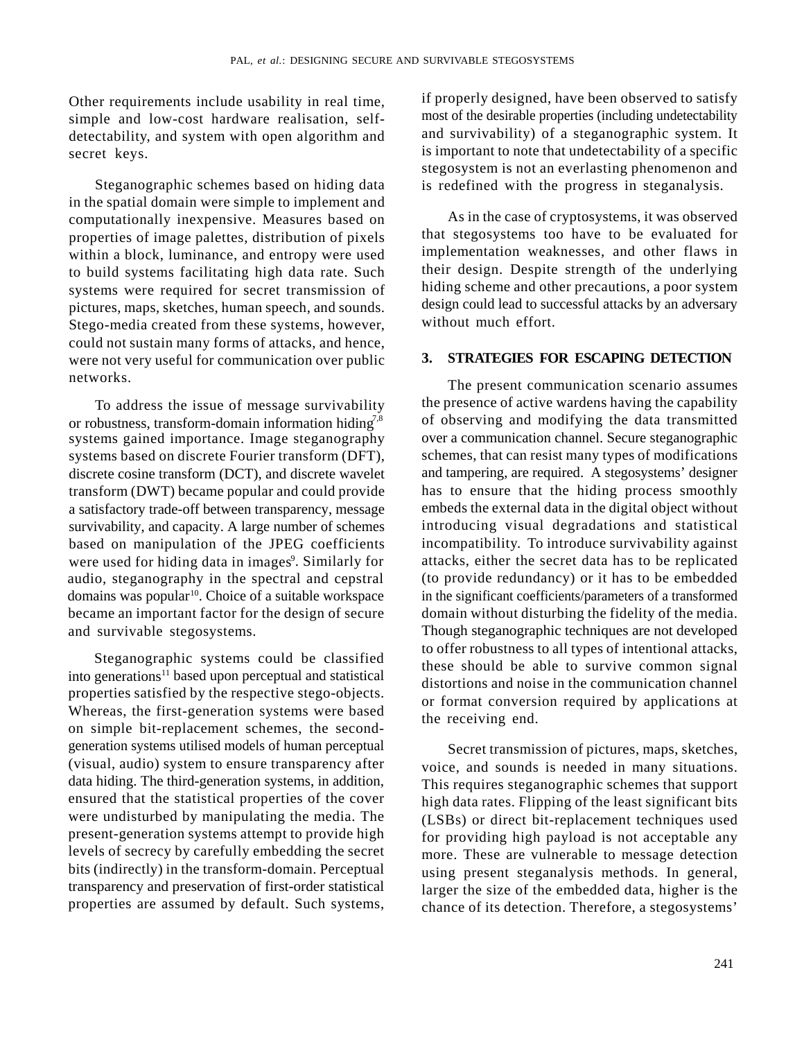Other requirements include usability in real time, simple and low-cost hardware realisation, selfdetectability, and system with open algorithm and

in the spatial domain were simple to implement and computationally inexpensive. Measures based on properties of image palettes, distribution of pixels within a block, luminance, and entropy were used to build systems facilitating high data rate. Such systems were required for secret transmission of pictures, maps, sketches, human speech, and sounds. Stego-media created from these systems, however, could not sustain many forms of attacks, and hence, were not very useful for communication over public  $\frac{3}{2}$ .

To address the issue of message survivability or robustness, transform-domain information hiding<sup>7,8</sup> systems gained importance. Image steganography transform (DWT) became popular and could provide a satisfactory trade-off between transparency, message survivability, and capacity. A large number of schemes based on manipulation of the JPEG coefficients were used for hiding data in images<sup>9</sup>. Similarly for domains was popular<sup>10</sup>. Choice of a suitable workspace

Steganographic systems could be classified into generations<sup>11</sup> based upon perceptual and statistical properties satisfied by the respective stego-objects. Whereas, the first-generation systems were based on simple bit-replacement schemes, the secondgeneration systems utilised models of human perceptual (visual, audio) system to ensure transparency after data hiding. The third-generation systems, in addition, ensured that the statistical properties of the cover were undisturbed by manipulating the media. The present-generation systems attempt to provide high levels of secrecy by carefully embedding the secret bits (indirectly) in the transform-domain. Perceptual transparency and preservation of first-order statistical properties are assumed by default. Such systems,

secret keys. is important to note that undetectability of a specific Steganographic schemes based on hiding data is redefined with the progress in steganalysis. if properly designed, have been observed to satisfy most of the desirable properties (including undetectability and survivability) of a steganographic system. It stegosystem is not an everlasting phenomenon and

> As in the case of cryptosystems, it was observed that stegosystems too have to be evaluated for implementation weaknesses, and other flaws in their design. Despite strength of the underlying hiding scheme and other precautions, a poor system design could lead to successful attacks by an adversary without much effort.

# **3. STRATEGIES FOR ESCAPING DETECTION**

networks. The present communication scenario assumes systems based on discrete Fourier transform (DFT), schemes, that can resist many types of modifications discrete cosine transform (DCT), and discrete wavelet and tampering, are required. A stegosystems' designer . Similarly for attacks, either the secret data has to be replicated audio, steganography in the spectral and cepstral (to provide redundancy) or it has to be embedded became an important factor for the design of secure domain without disturbing the fidelity of the media. and survivable stegosystems. Though steganographic techniques are not developed the presence of active wardens having the capability of observing and modifying the data transmitted over a communication channel. Secure steganographic has to ensure that the hiding process smoothly embeds the external data in the digital object without introducing visual degradations and statistical incompatibility. To introduce survivability against in the significant coefficients/parameters of a transformed to offer robustness to all types of intentional attacks, these should be able to survive common signal distortions and noise in the communication channel or format conversion required by applications at the receiving end.

> Secret transmission of pictures, maps, sketches, voice, and sounds is needed in many situations. This requires steganographic schemes that support high data rates. Flipping of the least significant bits (LSBs) or direct bit-replacement techniques used for providing high payload is not acceptable any more. These are vulnerable to message detection using present steganalysis methods. In general, larger the size of the embedded data, higher is the chance of its detection. Therefore, a stegosystems'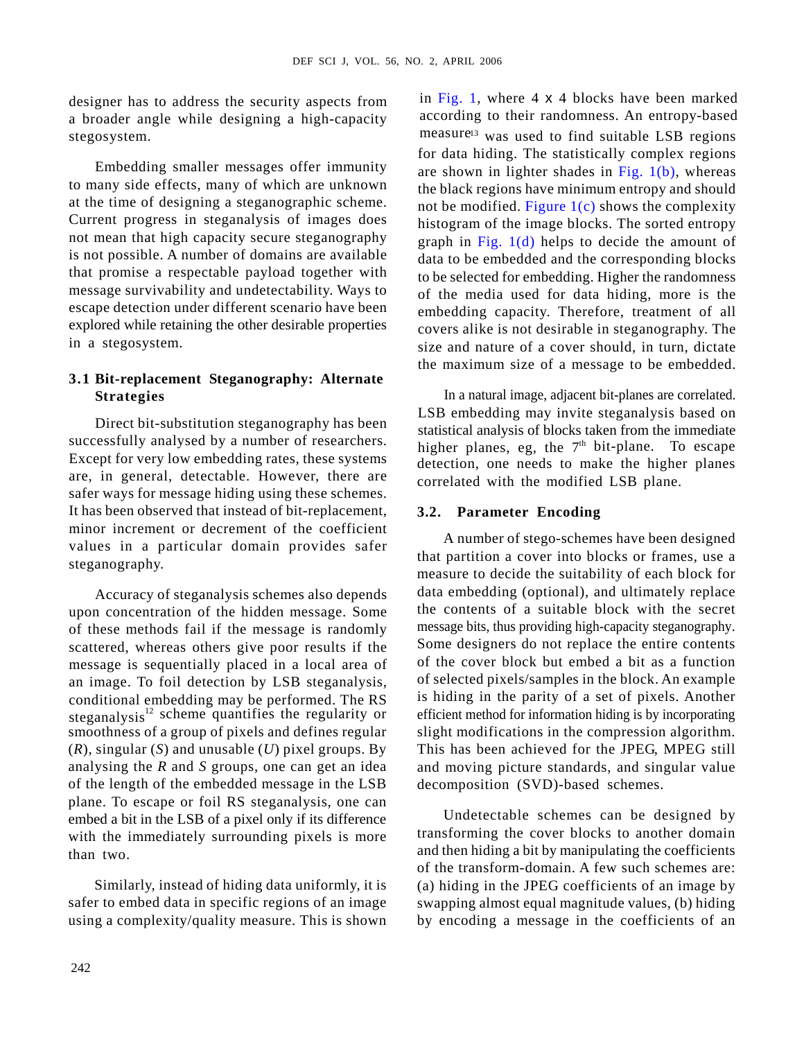designer has to address the security aspects from a broader angle while designing a high-capacity

Embedding smaller messages offer immunity to many side effects, many of which are unknown at the time of designing a steganographic scheme. Current progress in steganalysis of images does not mean that high capacity secure steganography is not possible. A number of domains are available data to be embedded and the corresponding blocks that promise a respectable payload together with message survivability and undetectability. Ways to escape detection under different scenario have been embedding capacity. Therefore, treatment of all explored while retaining the other desirable properties

Direct bit-substitution steganography has been successfully analysed by a number of researchers. Except for very low embedding rates, these systems are, in general, detectable. However, there are safer ways for message hiding using these schemes. It has been observed that instead of bit-replacement, minor increment or decrement of the coefficient values in a particular domain provides safer

Accuracy of steganalysis schemes also depends upon concentration of the hidden message. Some of these methods fail if the message is randomly scattered, whereas others give poor results if the message is sequentially placed in a local area of an image. To foil detection by LSB steganalysis, conditional embedding may be performed. The RS steganalysis<sup>12</sup> scheme quantifies the regularity or smoothness of a group of pixels and defines regular (*R*), singular (*S*) and unusable (*U*) pixel groups. By analysing the *R* and *S* groups, one can get an idea of the length of the embedded message in the LSB plane. To escape or foil RS steganalysis, one can embed a bit in the LSB of a pixel only if its difference with the immediately surrounding pixels is more than two. and then hiding a bit by manipulating the coefficients

using a complexity/quality measure. This is shown

stegosystem. The contract of the measure<sup>13</sup> was used to find suitable LSB regions in a stegosystem. size and nature of a cover should, in turn, dictate **Extreme that is not the state of the state of the state of the state of the state of the state of the state of the state of the state of the state of the state of the state of the state of the state of the state of the s** in Fig. 1, where 4 x 4 blocks have been marked according to their randomness. An entropy-based for data hiding. The statistically complex regions are shown in lighter shades in Fig.  $1(b)$ , whereas the black regions have minimum entropy and should not be modified. Figure  $1(c)$  shows the complexity histogram of the image blocks. The sorted entropy graph in Fig.  $1(d)$  helps to decide the amount of to be selected for embedding. Higher the randomness of the media used for data hiding, more is the covers alike is not desirable in steganography. The the maximum size of a message to be embedded.

**Strategies** In a natural image, adjacent bit-planes are correlated. LSB embedding may invite steganalysis based on statistical analysis of blocks taken from the immediate higher planes, eg, the  $7<sup>th</sup>$  bit-plane. To escape detection, one needs to make the higher planes correlated with the modified LSB plane.

# **3.2. Parameter Encoding**

that partition a cover into blocks or frames, use a steganography. A number of stego-schemes have been designed measure to decide the suitability of each block for data embedding (optional), and ultimately replace the contents of a suitable block with the secret message bits, thus providing high-capacity steganography. Some designers do not replace the entire contents of the cover block but embed a bit as a function of selected pixels/samples in the block. An example is hiding in the parity of a set of pixels. Another efficient method for information hiding is by incorporating slight modifications in the compression algorithm. This has been achieved for the JPEG, MPEG still and moving picture standards, and singular value decomposition (SVD)-based schemes.

Similarly, instead of hiding data uniformly, it is (a) hiding in the JPEG coefficients of an image by safer to embed data in specific regions of an image swapping almost equal magnitude values, (b) hiding Undetectable schemes can be designed by transforming the cover blocks to another domain of the transform-domain. A few such schemes are: by encoding a message in the coefficients of an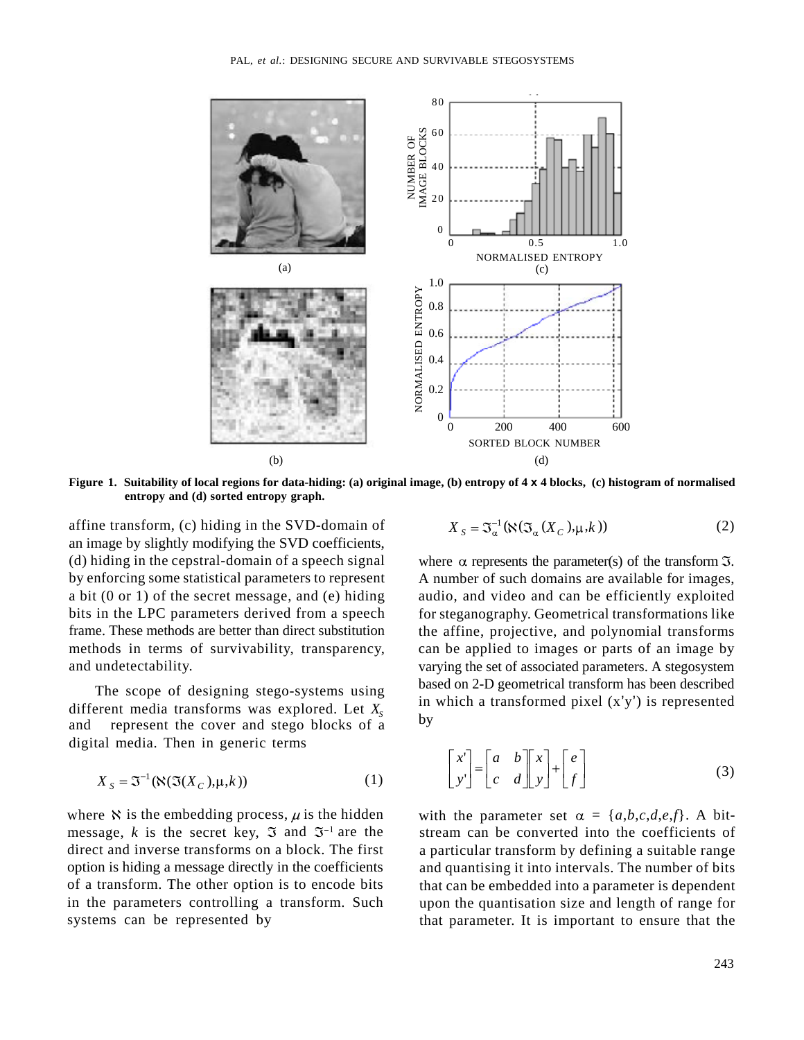

**Figure 1. Suitability of local regions for data-hiding: (a) original image, (b) entropy of 4 x 4 blocks, (c) histogram of normalised entropy and (d) sorted entropy graph.**

affine transform, (c) hiding in the SVD-domain of an image by slightly modifying the SVD coefficients, (d) hiding in the cepstral-domain of a speech signal where  $\alpha$  represents the parameter(s) of the transform  $\Im$ . by enforcing some statistical parameters to represent A number of such domains are available for images, a bit (0 or 1) of the secret message, and (e) hiding audio, and video and can be efficiently exploited bits in the LPC parameters derived from a speech for steganography. Geometrical transformations like frame. These methods are better than direct substitution the affine, projective, and polynomial transforms methods in terms of survivability, transparency, can be applied to images or parts of an image by

The scope of designing stego-systems using different media transforms was explored. Let  $X_s$  and represent the cover and stego blocks of a represent the cover and stego blocks of a digital media. Then in generic terms

$$
X_{S} = \mathfrak{I}^{-1}(\aleph(\mathfrak{I}(X_{C}), \mu, k))
$$
 (1)

where N is the embedding process,  $\mu$  is the hidden with the parameter set  $\alpha = \{a,b,c,d,e,f\}$ . A bitmessage, *k* is the secret key,  $\Im$  and  $\Im^{-1}$  are the

$$
X_{S} = \mathfrak{I}_{\alpha}^{-1}(\aleph(\mathfrak{I}_{\alpha}(X_{C}), \mu, k))
$$
 (2)

and undetectability. varying the set of associated parameters. A stegosystem based on 2-D geometrical transform has been described in which a transformed pixel  $(x'y')$  is represented by the contract of the contract of the contract of the contract of the contract of the contract of the contract of the contract of the contract of the contract of the contract of the contract of the contract of the contrac

$$
X_{s} = \mathfrak{I}^{-1}(\aleph(\mathfrak{I}(X_{c}), \mu, k)) \qquad (1) \qquad \begin{bmatrix} x' \\ y' \end{bmatrix} = \begin{bmatrix} a & b \\ c & d \end{bmatrix} \begin{bmatrix} x \\ y \end{bmatrix} + \begin{bmatrix} e \\ f \end{bmatrix} \qquad (3)
$$

direct and inverse transforms on a block. The first a particular transform by defining a suitable range option is hiding a message directly in the coefficients and quantising it into intervals. The number of bits of a transform. The other option is to encode bits that can be embedded into a parameter is dependent in the parameters controlling a transform. Such upon the quantisation size and length of range for systems can be represented by that parameter. It is important to ensure that the stream can be converted into the coefficients of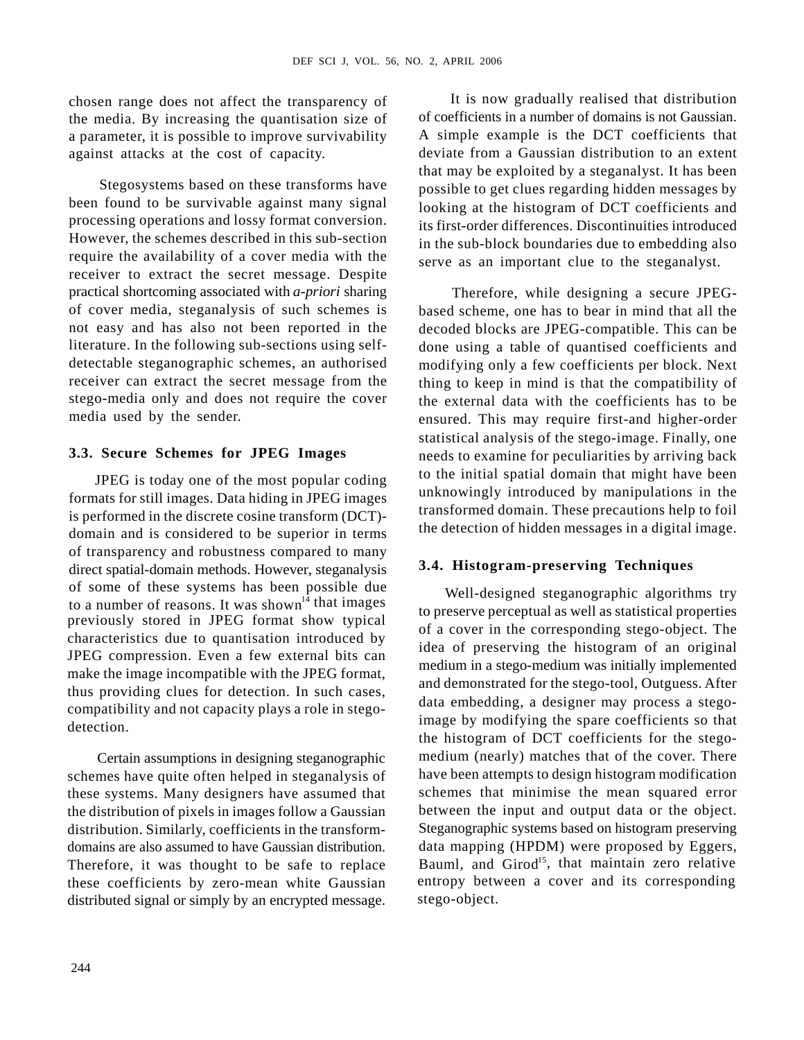chosen range does not affect the transparency of the media. By increasing the quantisation size of a parameter, it is possible to improve survivability against attacks at the cost of capacity. deviate from a Gaussian distribution to an extent

Stegosystems based on these transforms have been found to be survivable against many signal processing operations and lossy format conversion. However, the schemes described in this sub-section require the availability of a cover media with the receiver to extract the secret message. Despite practical shortcoming associated with *a-priori* sharing of cover media, steganalysis of such schemes is based scheme, one has to bear in mind that all the not easy and has also not been reported in the decoded blocks are JPEG-compatible. This can be literature. In the following sub-sections using selfdetectable steganographic schemes, an authorised modifying only a few coefficients per block. Next receiver can extract the secret message from the thing to keep in mind is that the compatibility of stego-media only and does not require the cover the external data with the coefficients has to be

JPEG is today one of the most popular coding formats for still images. Data hiding in JPEG images is performed in the discrete cosine transform (DCT) domain and is considered to be superior in terms of transparency and robustness compared to many direct spatial-domain methods. However, steganalysis of some of these systems has been possible due to a number of reasons. It was shown<sup>14</sup> that images previously stored in JPEG format show typical characteristics due to quantisation introduced by JPEG compression. Even a few external bits can make the image incompatible with the JPEG format, thus providing clues for detection. In such cases, compatibility and not capacity plays a role in stego-

 Certain assumptions in designing steganographic schemes have quite often helped in steganalysis of these systems. Many designers have assumed that the distribution of pixels in images follow a Gaussian distribution. Similarly, coefficients in the transformdomains are also assumed to have Gaussian distribution. distributed signal or simply by an encrypted message.

It is now gradually realised that distribution of coefficients in a number of domains is not Gaussian. A simple example is the DCT coefficients that that may be exploited by a steganalyst. It has been possible to get clues regarding hidden messages by looking at the histogram of DCT coefficients and its first-order differences. Discontinuities introduced in the sub-block boundaries due to embedding also serve as an important clue to the steganalyst.

media used by the sender. ensured. This may require first-and higher-order **3.3. Secure Schemes for JPEG Images** needs to examine for peculiarities by arriving back Therefore, while designing a secure JPEGdone using a table of quantised coefficients and statistical analysis of the stego-image. Finally, one to the initial spatial domain that might have been unknowingly introduced by manipulations in the transformed domain. These precautions help to foil the detection of hidden messages in a digital image.

## **3.4. Histogram-preserving Techniques**

Examples the spare coefficients so that<br>detection. Therefore, it was thought to be safe to replace Bauml, and Girod<sup>15</sup>, that maintain zero relative these coefficients by zero-mean white Gaussian entropy between a cover and its corresponding Well-designed steganographic algorithms try to preserve perceptual as well as statistical properties of a cover in the corresponding stego-object. The idea of preserving the histogram of an original medium in a stego-medium was initially implemented and demonstrated for the stego-tool, Outguess. After data embedding, a designer may process a stegothe histogram of DCT coefficients for the stegomedium (nearly) matches that of the cover. There have been attempts to design histogram modification schemes that minimise the mean squared error between the input and output data or the object. Steganographic systems based on histogram preserving data mapping (HPDM) were proposed by Eggers, stego-object.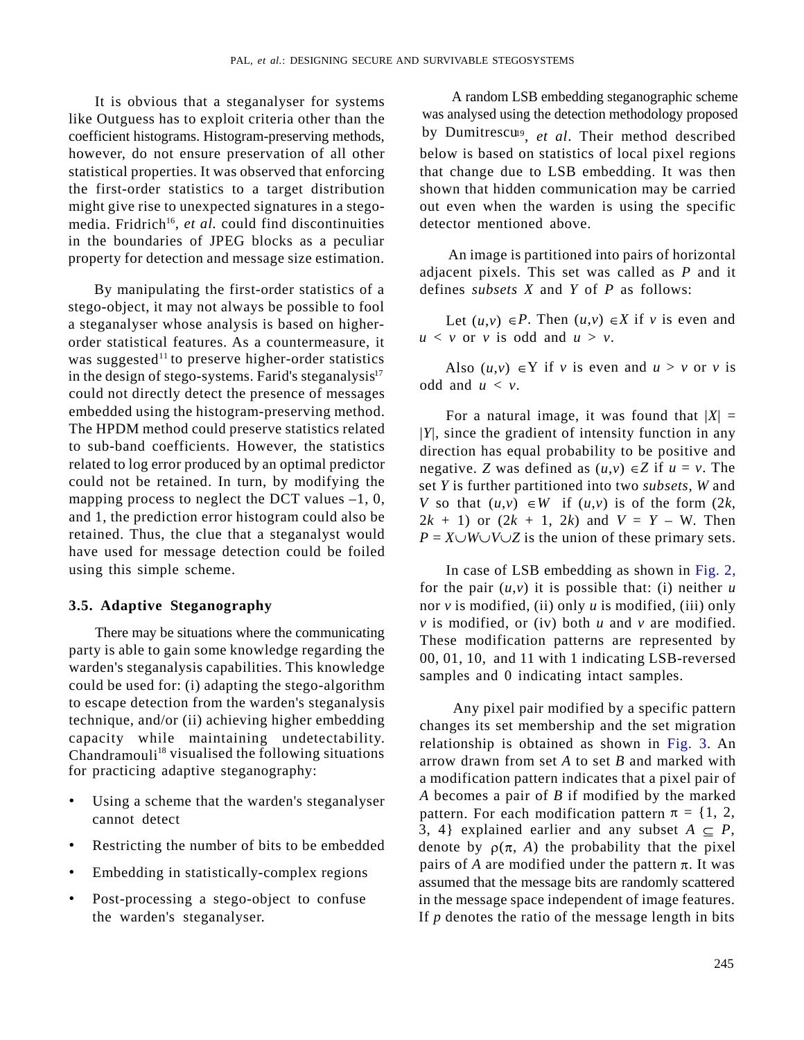It is obvious that a steganalyser for systems like Outguess has to exploit criteria other than the statistical properties. It was observed that enforcing might give rise to unexpected signatures in a stegoin the boundaries of JPEG blocks as a peculiar property for detection and message size estimation.

By manipulating the first-order statistics of a stego-object, it may not always be possible to fool a steganalyser whose analysis is based on higherorder statistical features. As a countermeasure, it was suggested<sup>11</sup> to preserve higher-order statistics in the design of stego-systems. Farid's steganalysis $17$ could not directly detect the presence of messages embedded using the histogram-preserving method. The HPDM method could preserve statistics related to sub-band coefficients. However, the statistics related to log error produced by an optimal predictor could not be retained. In turn, by modifying the mapping process to neglect the DCT values  $-1$ , 0, retained. Thus, the clue that a steganalyst would have used for message detection could be foiled using this simple scheme. The case of LSB embedding as shown in Fig. 2,

There may be situations where the communicating party is able to gain some knowledge regarding the warden's steganalysis capabilities. This knowledge could be used for: (i) adapting the stego-algorithm to escape detection from the warden's steganalysis technique, and/or (ii) achieving higher embedding capacity while maintaining undetectability.  $Chandramouli<sup>18</sup> visualised the following situations$ for practicing adaptive steganography:

- Using a scheme that the warden's steganalyser
- 
- Embedding in statistically-complex regions
- 

coefficient histograms. Histogram-preserving methods, by Dumitrescu<sup>9</sup>, et al. Their method described however, do not ensure preservation of all other below is based on statistics of local pixel regions the first-order statistics to a target distribution shown that hidden communication may be carried media. Fridrich<sup>16</sup>, *et al.* could find discontinuities detector mentioned above. A random LSB embedding steganographic scheme was analysed using the detection methodology proposed that change due to LSB embedding. It was then out even when the warden is using the specific detector mentioned above.

> An image is partitioned into pairs of horizontal adjacent pixels. This set was called as *P* and it defines *subsets X* and *Y* of *P* as follows:

> Let  $(u, v) \in P$ . Then  $(u, v) \in X$  if *v* is even and  $u < v$  or *v* is odd and  $u > v$ .

> Also  $(u, v) \in Y$  if *v* is even and  $u > v$  or *v* is odd and  $u < v$ .

and 1, the prediction error histogram could also be  $2k + 1$  or  $(2k + 1, 2k)$  and  $V = Y - W$ . Then For a natural image, it was found that  $|X| =$ |*Y*|, since the gradient of intensity function in any direction has equal probability to be positive and negative. *Z* was defined as  $(u, v) \in Z$  if  $u = v$ . The set *Y* is further partitioned into two *subsets*, *W* and *V* so that  $(u, v) \in W$  if  $(u, v)$  is of the form  $(2k, v)$  $P = X \cup W \cup V \cup Z$  is the union of these primary sets.

**3.5. Adaptive Steganography** nor *v* is modified, (ii) only *u* is modified, (iii) only for the pair  $(u, v)$  it is possible that: (i) neither  $u$  $\nu$  is modified, or (iv) both  $u$  and  $\nu$  are modified. These modification patterns are represented by 00, 01, 10, and 11 with 1 indicating LSB-reversed samples and 0 indicating intact samples.

cannot detect pattern. For each modification pattern  $\pi = \{1, 2, \ldots, n\}$ • Restricting the number of bits to be embedded denote by  $\rho(\pi, A)$  the probability that the pixel • Post-processing a stego-object to confuse in the message space independent of image features. the warden's steganalyser.  $\qquad \qquad$  If *p* denotes the ratio of the message length in bits Any pixel pair modified by a specific pattern changes its set membership and the set migration relationship is obtained as shown in Fig. 3. An arrow drawn from set *A* to set *B* and marked with a modification pattern indicates that a pixel pair of *A* becomes a pair of *B* if modified by the marked 3, 4} explained earlier and any subset  $A \subseteq P$ , pairs of  $A$  are modified under the pattern  $\pi$ . It was assumed that the message bits are randomly scattered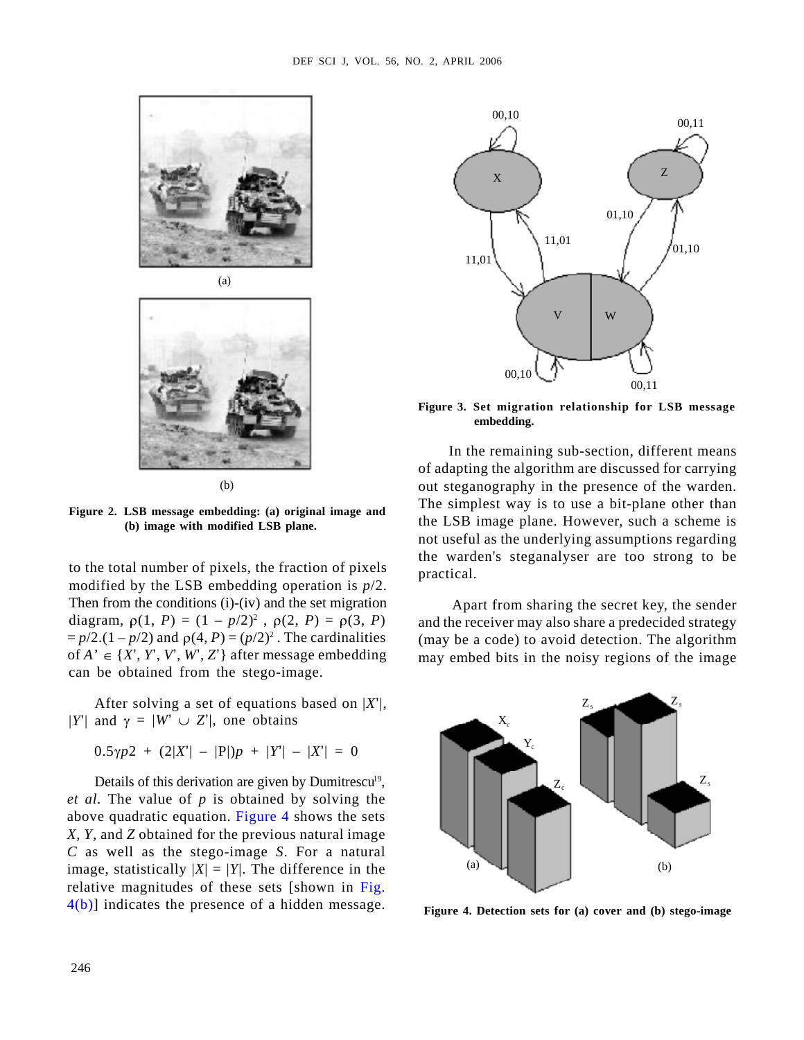



to the total number of pixels, the fraction of pixels modified by the LSB embedding operation is *p*/2. Then from the conditions (i)-(iv) and the set migration diagram,  $\rho(1, P) = (1 - p/2)^2$ ,  $\rho(2, P) = \rho(3, P)$  $= p/2$ .(1 – *p*/2) and  $\rho(4, P) = (p/2)^2$ . The cardinalities of  $A' \in \{X', Y', W', Z'\}$  after message embedding can be obtained from the stego-image.

After solving a set of equations based on  $|X'|$ ,  $Z$  $|Y'|$  and  $\gamma = |W' \cup Z'|$ , one obtains

 $0.5\gamma p2 + (2|X'|-|P|)p + |Y'|-|X'| = 0$ 

*et al.* The value of *p* is obtained by solving the above quadratic equation. Figure 4 shows the sets *X*, *Y*, and *Z* obtained for the previous natural image *C* as well as the stego-image *S*. For a natural<br>image statistically  $|Y| - |Y|$ . The difference in the (a) image, statistically  $|X| = |Y|$ . The difference in the  $(2)$  (a)  $\downarrow$ relative magnitudes of these sets [shown in Fig.  $4(b)$ ] indicates the presence of a hidden message.



**embedding.**

In the remaining sub-section, different means of adapting the algorithm are discussed for carrying out steganography in the presence of the warden. (b) The simplest way is to use a bit-plane other than the LSB image plane. However, such a scheme is **(b) image with modified LSB plane.** not useful as the underlying assumptions regarding the warden's steganalyser are too strong to be practical.

,  $\rho(2, P) = \rho(3, P)$  and the receiver may also share a predecided strategy Apart from sharing the secret key, the sender (may be a code) to avoid detection. The algorithm may embed bits in the noisy regions of the image



**Figure 4. Detection sets for (a) cover and (b) stego-image**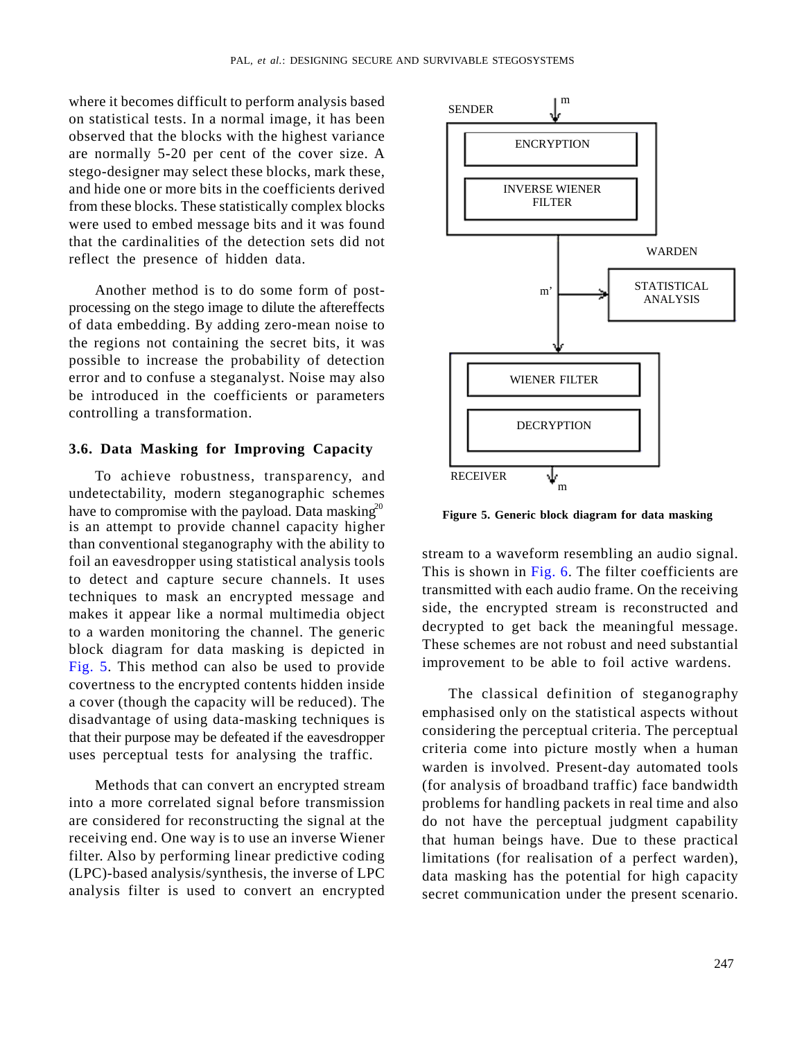where it becomes difficult to perform analysis based  $\mathbb{S}^{\text{ENDER}}$ on statistical tests. In a normal image, it has been observed that the blocks with the highest variance<br>
ENCRYPTION are normally 5-20 per cent of the cover size. A stego-designer may select these blocks, mark these, and hide one or more bits in the coefficients derived<br>
From these blocks. These statistically complex blocks<br>
FILTER from these blocks. These statistically complex blocks were used to embed message bits and it was found that the cardinalities of the detection sets did not reflect the presence of hidden data.

Another method is to do some form of postprocessing on the stego image to dilute the aftereffects and the step image of dilute the aftereffects of data embedding. By adding zero-mean noise to the regions not containing the secret bits, it was possible to increase the probability of detection error and to confuse a steganalyst. Noise may also **a a i i i WIENER FILTER** be introduced in the coefficients or parameters controlling a transformation.

# **3.6. Data Masking for Improving Capacity**

To achieve robustness, transparency, and RECEIVER  $\psi_m$ undetectability, modern steganographic schemes have to compromise with the payload. Data masking<sup>20</sup> Figure 5. Generic block diagram for data masking is an attempt to provide channel capacity higher than conventional steganography with the ability to foil an eavesdropper using statistical analysis tools to detect and capture secure channels. It uses techniques to mask an encrypted message and makes it appear like a normal multimedia object to a warden monitoring the channel. The generic block diagram for data masking is depicted in Fig. 5. This method can also be used to provide covertness to the encrypted contents hidden inside a cover (though the capacity will be reduced). The disadvantage of using data-masking techniques is that their purpose may be defeated if the eavesdropper uses perceptual tests for analysing the traffic.

filter. Also by performing linear predictive coding (LPC)-based analysis/synthesis, the inverse of LPC analysis filter is used to convert an encrypted



stream to a waveform resembling an audio signal. This is shown in Fig. 6. The filter coefficients are transmitted with each audio frame. On the receiving side, the encrypted stream is reconstructed and decrypted to get back the meaningful message. These schemes are not robust and need substantial improvement to be able to foil active wardens.

Methods that can convert an encrypted stream (for analysis of broadband traffic) face bandwidth into a more correlated signal before transmission problems for handling packets in real time and also are considered for reconstructing the signal at the do not have the perceptual judgment capability receiving end. One way is to use an inverse Wiener that human beings have. Due to these practical The classical definition of steganography emphasised only on the statistical aspects without considering the perceptual criteria. The perceptual criteria come into picture mostly when a human warden is involved. Present-day automated tools limitations (for realisation of a perfect warden), data masking has the potential for high capacity secret communication under the present scenario.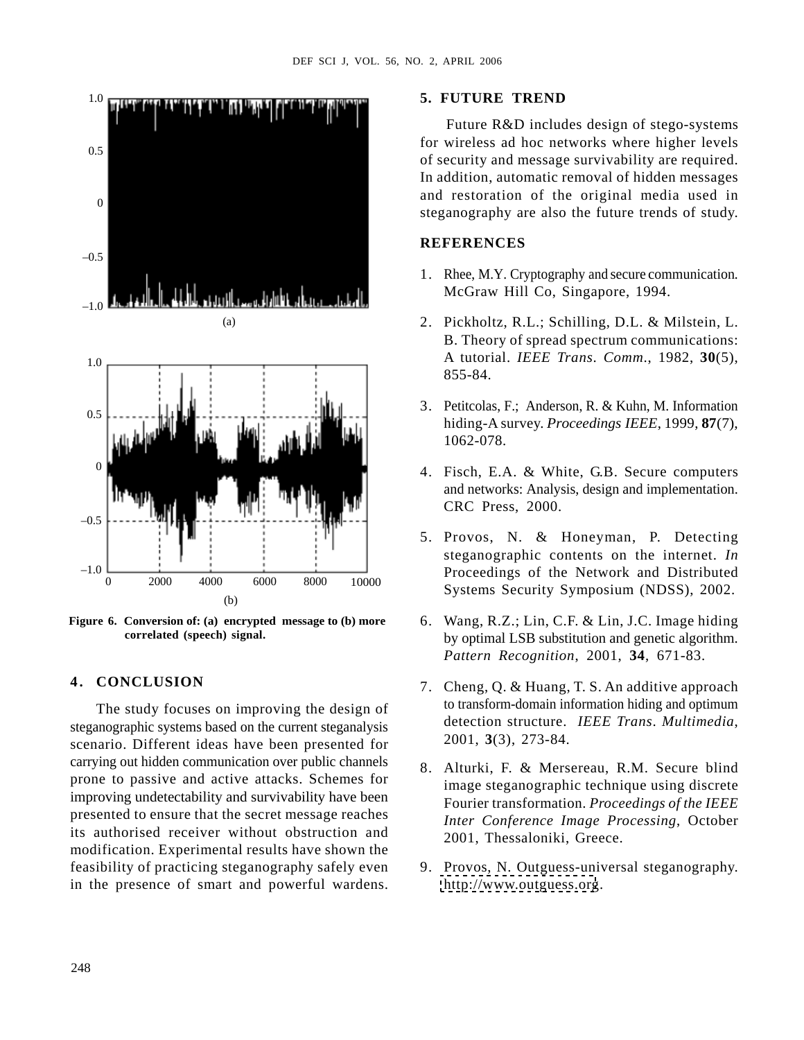

The study focuses on improving the design of steganographic systems based on the current steganalysis scenario. Different ideas have been presented for carrying out hidden communication over public channels 8. Alturki, F. & Mersereau, R.M. Secure blind prone to passive and active attacks. Schemes for improving undetectability and survivability have been presented to ensure that the secret message reaches its authorised receiver without obstruction and modification. Experimental results have shown the feasibility of practicing steganography safely even 9. Provos, N. Outguess-universal steganography. in the presence of smart and powerful wardens.

### **5. FUTURE TREND**

Future R&D includes design of stego-systems for wireless ad hoc networks where higher levels of security and message survivability are required. 0.5 In addition, automatic removal of hidden messages and restoration of the original media used in o<br>steganography are also the future trends of study. 2. APKL 2006<br>
5. **FUTURE TREND**<br>
Future R&D includes design of stego-systems<br>
for wireless ad hoc networks where higher levels<br>
of security and message sarvivability are required.<br>
In addition, automatic removal of hidden 2. A APRIL 2006<br>
5. **EUTTURE TREND**<br>
Future R&D includes design of stego-systems<br>
for swirters ad hoc networbs where higher levels<br>
of security and message survivability are required.<br>
In addition, automatic removal of hi 2.  $\lambda$  APRII. 2006<br>
5. **FUTURE TREND**<br>
Future R&D includes design of stego-systems<br>
for wireless ad hoc networbs where higher levels<br>
of security and message survivability are required.<br>
In addition, automatic removal of 2.  $\lambda$  APRII. 2006<br>
5. **FUTURE TREND**<br>
Future R&D includes design of stego-systems<br>
for swirters ad hoc networbs where higher levels<br>
of security and message survivability are required.<br>
In addition, automatic removal of 2.  $\lambda$  APRII. 2006<br>
5. **FUTURE TREND**<br>
Future R&D includes design of stego-systems<br>
for swirters ad thos networts where higher levels<br>
of security and message survivability are required.<br>
In addition, automatic removal o 2. A APRIL 2006<br>
5. **EUTTURE TREND**<br>
Future R&D includes design of stego-systems<br>
for swirters ad hoc networbs where higher levels<br>
of security and message survivability are required.<br>
In dodition, automatic removal of hi 2. APRIL 2006<br>
5. **FUTURE TREND**<br>
Future R&D includes design of stego-systems<br>
for swirters ad hoc networbs where higher levels<br>
of security and message survivability are required.<br>
In dodition, automatic removal of hidde

### **REFERENCES**

- 1. Rhee, M.Y. Cryptography and secure communication. McGraw Hill Co, Singapore, 1994.
- B. Theory of spread spectrum communications: A tutorial. *IEEE Trans*. *Comm*., 1982, **30**(5), 1.0 855-84.
- 3. Petitcolas, F.; Anderson, R. & Kuhn, M. Information hiding-A survey. *Proceedings IEEE*, 1999, **87**(7), 0.5 1062-078.
	- and networks: Analysis, design and implementation. CRC Press, 2000.
- steganographic contents on the internet. *In*  $-1.0$   $-2000$   $-4000$   $-6000$   $-8000$   $-10000$   $-10000$   $-10000$ Systems Security Symposium (NDSS), 2002.
- by optimal LSB substitution and genetic algorithm. **correlated (speech) signal.** *Pattern Recognition*, 2001, **34**, 671-83. Figure 6. Conversion of: (a) encrypted message to (b) more 6. Wang, R.Z.; Lin, C.F. & Lin, J.C. Image hiding
	- to transform-domain information hiding and optimum detection structure. *IEEE Trans*. *Multimedia*, 2001, **3**(3), 273-84.
	- image steganographic technique using discrete Fourier transformation. *Proceedings of the IEEE Inter Conference Image Processing*, October 2001, Thessaloniki, Greece.
	- http://www.outguess.org.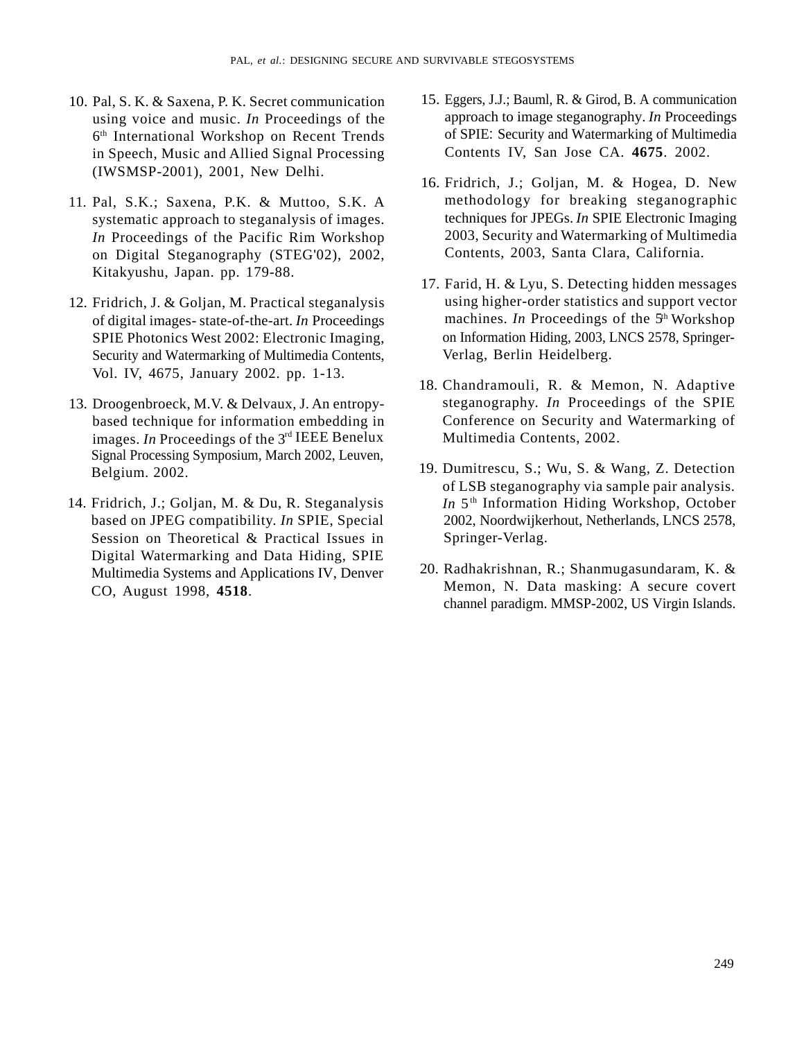- using voice and music. *In* Proceedings of the in Speech, Music and Allied Signal Processing (IWSMSP-2001), 2001, New Delhi.
- 11. Pal, S.K.; Saxena, P.K. & Muttoo, S.K. A systematic approach to steganalysis of images. *In* Proceedings of the Pacific Rim Workshop on Digital Steganography (STEG'02), 2002, Kitakyushu, Japan. pp. 179-88.
- 12. Fridrich, J. & Goljan, M. Practical steganalysis of digital images- state-of-the-art. *In* Proceedings SPIE Photonics West 2002: Electronic Imaging, Security and Watermarking of Multimedia Contents, Vol. IV, 4675, January 2002. pp. 1-13.
- 13. Droogenbroeck, M.V. & Delvaux, J. An entropybased technique for information embedding in images. *In* Proceedings of the 3<sup>rd</sup> IEEE Benelux Signal Processing Symposium, March 2002, Leuven,
- 14. Fridrich, J.; Goljan, M. & Du, R. Steganalysis Session on Theoretical & Practical Issues in Digital Watermarking and Data Hiding, SPIE Multimedia Systems and Applications IV, Denver Pai, S. K. & Saxena, P.K. Scent communication<br>
using voice and mastic. In Proceedings of the<br>
oppmach to image steganography. In Proceedings<br>
of Repective on Recent Tends<br>
of SPIE: Security and Watermarking of Multimedia<br>
- 10. Pal, S. K. & Saxena, P. K. Secret communication 15. Eggers, J.J.; Bauml, R. & Girod, B. A communication 6<sup>th</sup> International Workshop on Recent Trends of SPIE: Security and Watermarking of Multimedia approach to image steganography. *In* Proceedings of SPIE: Security and Watermarking of Multimedia Contents IV, San Jose CA. **4675**. 2002.
	- 16. Fridrich, J.; Goljan, M. & Hogea, D. New methodology for breaking steganographic techniques for JPEGs. *In* SPIE Electronic Imaging 2003, Security and Watermarking of Multimedia Contents, 2003, Santa Clara, California.
	- 17. Farid, H. & Lyu, S. Detecting hidden messages using higher-order statistics and support vector machines. *In* Proceedings of the 5<sup>th</sup> Workshop on Information Hiding, 2003, LNCS 2578, Springer-Verlag, Berlin Heidelberg.
	- 18. Chandramouli, R. & Memon, N. Adaptive steganography. *In* Proceedings of the SPIE Conference on Security and Watermarking of Multimedia Contents, 2002.
	- Belgium. 2002. 11 19. Dumitrescu, S.; Wu, S. & Wang, Z. Detection based on JPEG compatibility. *In* SPIE, Special 2002, Noordwijkerhout, Netherlands, LNCS 2578, of LSB steganography via sample pair analysis. *In*  $5<sup>th</sup>$  Information Hiding Workshop, October Springer-Verlag.
		- 20. Radhakrishnan, R.; Shanmugasundaram, K. & Memon, N. Data masking: A secure covert channel paradigm. MMSP-2002, US Virgin Islands.